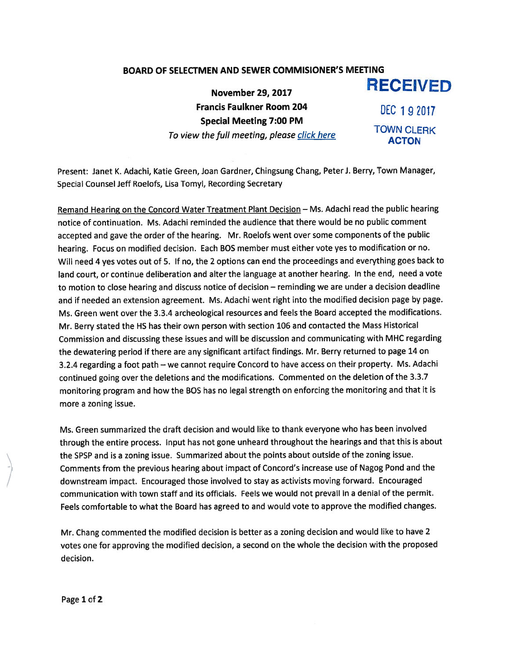## BOARD OF SELECTMEN AND SEWER COMMISIONER'S MEETING

November 29, 2017 **RECEIVED** Francis Faulkner Room 204 DEC 192017 Special Meeting 7:00 PM To view the full meeting, please click here TOWN CLERK

Present: Janet K. Adachi, Katie Green, Joan Gardner, Chingsung Chang, Peter J. Berry, Town Manager, Special Counsel Jeff Roelofs, Lisa Tomyl, Recording Secretary

Remand Hearing on the Concord Water Treatment Plant Decision — Ms. Adachi read the public hearing notice of continuation. Ms. Adachi reminded the audience that there would be no public comment accepted and gave the order of the hearing. Mr. Roelofs went over some components of the public hearing. Focus on modified decision. Each BOS member must either vote yes to modification or no. Will need <sup>4</sup> yes votes out of 5. If no, the <sup>2</sup> options can end the proceedings and everything goes back to land court, or continue deliberation and alter the language at another hearing. In the end, need <sup>a</sup> vote to motion to close hearing and discuss notice of decision — reminding we are under <sup>a</sup> decision deadline and if needed an extension agreement. Ms. Adachi went right into the modified decision page by page. Ms. Green went over the 3.3.4 archeological resources and feels the Board accepted the modifications. Mr. Berry stated the HS has their own person with section <sup>106</sup> and contacted the Mass Historical Commission and discussing these issues and will be discussion and communicating with MHC regarding the dewatering period if there are any significant artifact findings. Mr. Berry returned to page <sup>14</sup> on 3.2.4 regarding <sup>a</sup> foot path — we cannot require Concord to have access on their property. Ms. Adachi continued going over the deletions and the modifications. Commented on the deletion of the 3.3.7 monitoring program and how the <sup>805</sup> has no legal strength on enforcing the monitoring and that it is more <sup>a</sup> zoning issue.

Ms. Green summarized the draft decision and would like to thank everyone who has been involved through the entire process. Input has not gone unheard throughout the hearings and that this is about the SPSP and is <sup>a</sup> zoning issue. Summarized about the points about outside of the zoning issue. Comments from the previous hearing about impact of Concord's increase use of Nagog Pond and the downstream impact. Encouraged those involved to stay as activists moving forward. Encouraged communication with town staff and its officials. Feels we would not prevail in <sup>a</sup> denial of the permit. Feels comfortable to what the Board has agreed to and would vote to approve the modified changes.

Mr. Chang commented the modified decision is better as <sup>a</sup> zoning decision and would like to have <sup>2</sup> votes one for approving the modified decision, <sup>a</sup> second on the whole the decision with the propose<sup>d</sup> decision.